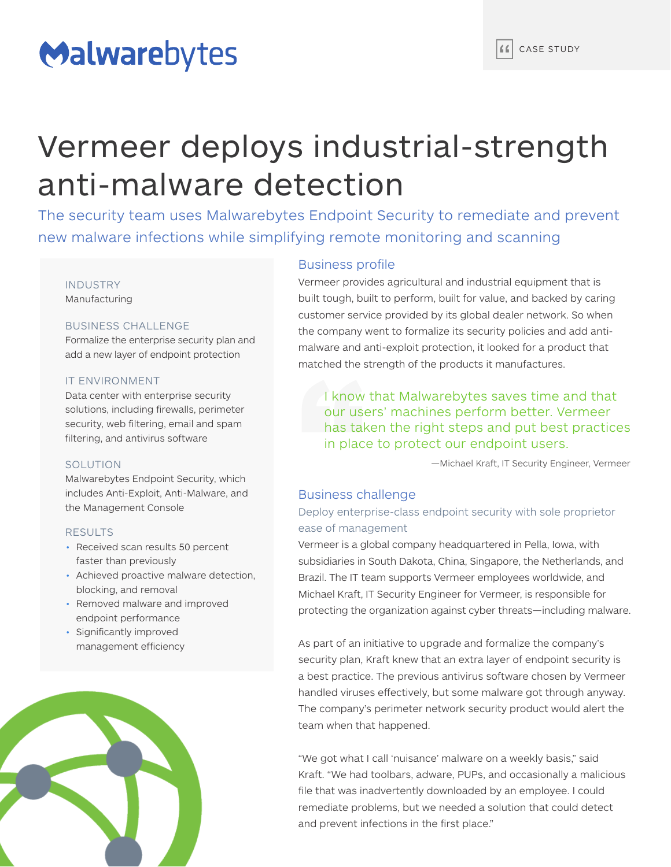# Malwarebytes

# Vermeer deploys industrial-strength anti-malware detection

The security team uses Malwarebytes Endpoint Security to remediate and prevent new malware infections while simplifying remote monitoring and scanning

# INDUSTRY

Manufacturing

## BUSINESS CHALLENGE

Formalize the enterprise security plan and add a new layer of endpoint protection

### IT ENVIRONMENT

Data center with enterprise security solutions, including firewalls, perimeter security, web filtering, email and spam filtering, and antivirus software

### SOLUTION

Malwarebytes Endpoint Security, which includes Anti-Exploit, Anti-Malware, and the Management Console

### **RESULTS**

- Received scan results 50 percent faster than previously
- Achieved proactive malware detection, blocking, and removal
- Removed malware and improved endpoint performance
- Significantly improved management efficiency



# Business profile

Vermeer provides agricultural and industrial equipment that is built tough, built to perform, built for value, and backed by caring customer service provided by its global dealer network. So when the company went to formalize its security policies and add antimalware and anti-exploit protection, it looked for a product that matched the strength of the products it manufactures.

I know that Malwarebytes saves time and that our users' machines perform better. Vermeer has taken the right steps and put best practices in place to protect our endpoint users.

—Michael Kraft, IT Security Engineer, Vermeer

# Business challenge

# Deploy enterprise-class endpoint security with sole proprietor ease of management

Vermeer is a global company headquartered in Pella, Iowa, with subsidiaries in South Dakota, China, Singapore, the Netherlands, and Brazil. The IT team supports Vermeer employees worldwide, and Michael Kraft, IT Security Engineer for Vermeer, is responsible for protecting the organization against cyber threats—including malware.

As part of an initiative to upgrade and formalize the company's security plan, Kraft knew that an extra layer of endpoint security is a best practice. The previous antivirus software chosen by Vermeer handled viruses effectively, but some malware got through anyway. The company's perimeter network security product would alert the team when that happened.

"We got what I call 'nuisance' malware on a weekly basis," said Kraft. "We had toolbars, adware, PUPs, and occasionally a malicious file that was inadvertently downloaded by an employee. I could remediate problems, but we needed a solution that could detect and prevent infections in the first place."